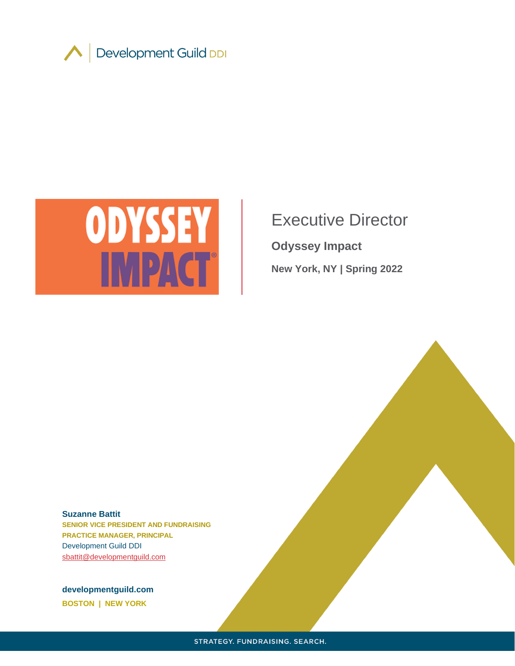



# Executive Director

**Odyssey Impact**

**New York, NY | Spring 2022**

#### **Suzanne Battit**

**SENIOR VICE PRESIDENT AND FUNDRAISING PRACTICE MANAGER, PRINCIPAL** Development Guild DDI [sbattit@developmentguild.com](about:blank)

**developmentguild.com BOSTON | NEW YORK**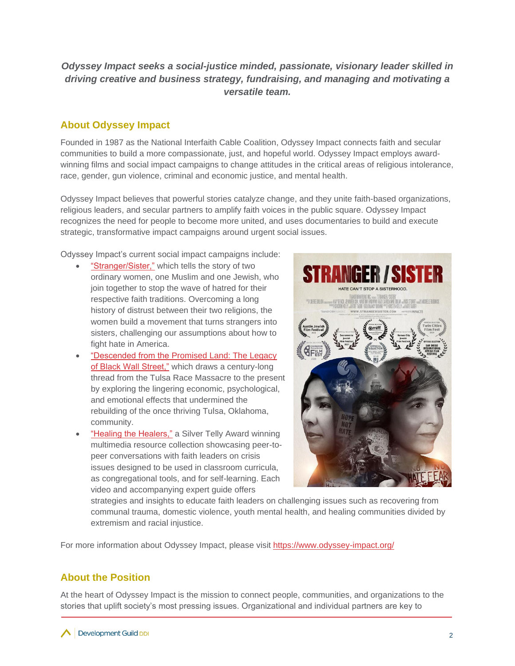# *Odyssey Impact seeks a social-justice minded, passionate, visionary leader skilled in driving creative and business strategy, fundraising, and managing and motivating a versatile team.*

## **About Odyssey Impact**

Founded in 1987 as the National Interfaith Cable Coalition, Odyssey Impact connects faith and secular communities to build a more compassionate, just, and hopeful world. Odyssey Impact employs awardwinning films and social impact campaigns to change attitudes in the critical areas of religious intolerance, race, gender, gun violence, criminal and economic justice, and mental health.

Odyssey Impact believes that powerful stories catalyze change, and they unite faith-based organizations, religious leaders, and secular partners to amplify faith voices in the public square. Odyssey Impact recognizes the need for people to become more united, and uses documentaries to build and execute strategic, transformative impact campaigns around urgent social issues.

Odyssey Impact's current social impact campaigns include:

- ["Stranger/Sister,"](about:blank) which tells the story of two ordinary women, one Muslim and one Jewish, who join together to stop the wave of hatred for their respective faith traditions. Overcoming a long history of distrust between their two religions, the women build a movement that turns strangers into sisters, challenging our assumptions about how to fight hate in America.
- ["Descended from the Promised Land: The Legacy](about:blank)  [of Black Wall Street,"](about:blank) which draws a century-long thread from the Tulsa Race Massacre to the present by exploring the lingering economic, psychological, and emotional effects that undermined the rebuilding of the once thriving Tulsa, Oklahoma, community.
- ["Healing the Healers,"](https://www.odyssey-impact.org/healing-the-healers/) a Silver Telly Award winning multimedia resource collection showcasing peer-topeer conversations with faith leaders on crisis issues designed to be used in classroom curricula, as congregational tools, and for self-learning. Each video and accompanying expert guide offers



strategies and insights to educate faith leaders on challenging issues such as recovering from communal trauma, domestic violence, youth mental health, and healing communities divided by extremism and racial injustice.

For more information about Odyssey Impact, please visit [https://www.odyssey-impact.org/](about:blank)

# **About the Position**

At the heart of Odyssey Impact is the mission to connect people, communities, and organizations to the stories that uplift society's most pressing issues. Organizational and individual partners are key to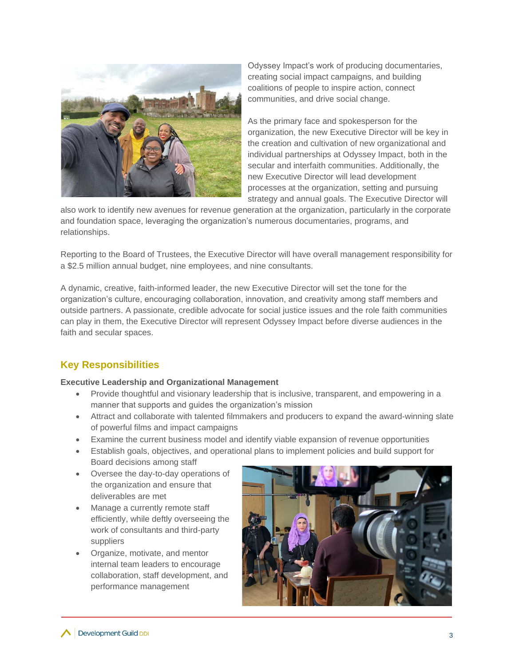

Odyssey Impact's work of producing documentaries, creating social impact campaigns, and building coalitions of people to inspire action, connect communities, and drive social change.

As the primary face and spokesperson for the organization, the new Executive Director will be key in the creation and cultivation of new organizational and individual partnerships at Odyssey Impact, both in the secular and interfaith communities. Additionally, the new Executive Director will lead development processes at the organization, setting and pursuing strategy and annual goals. The Executive Director will

also work to identify new avenues for revenue generation at the organization, particularly in the corporate and foundation space, leveraging the organization's numerous documentaries, programs, and relationships.

Reporting to the Board of Trustees, the Executive Director will have overall management responsibility for a \$2.5 million annual budget, nine employees, and nine consultants.

A dynamic, creative, faith-informed leader, the new Executive Director will set the tone for the organization's culture, encouraging collaboration, innovation, and creativity among staff members and outside partners. A passionate, credible advocate for social justice issues and the role faith communities can play in them, the Executive Director will represent Odyssey Impact before diverse audiences in the faith and secular spaces.

# **Key Responsibilities**

#### **Executive Leadership and Organizational Management**

- Provide thoughtful and visionary leadership that is inclusive, transparent, and empowering in a manner that supports and guides the organization's mission
- Attract and collaborate with talented filmmakers and producers to expand the award-winning slate of powerful films and impact campaigns
- Examine the current business model and identify viable expansion of revenue opportunities
- Establish goals, objectives, and operational plans to implement policies and build support for Board decisions among staff
- Oversee the day-to-day operations of the organization and ensure that deliverables are met
- Manage a currently remote staff efficiently, while deftly overseeing the work of consultants and third-party suppliers
- Organize, motivate, and mentor internal team leaders to encourage collaboration, staff development, and performance management

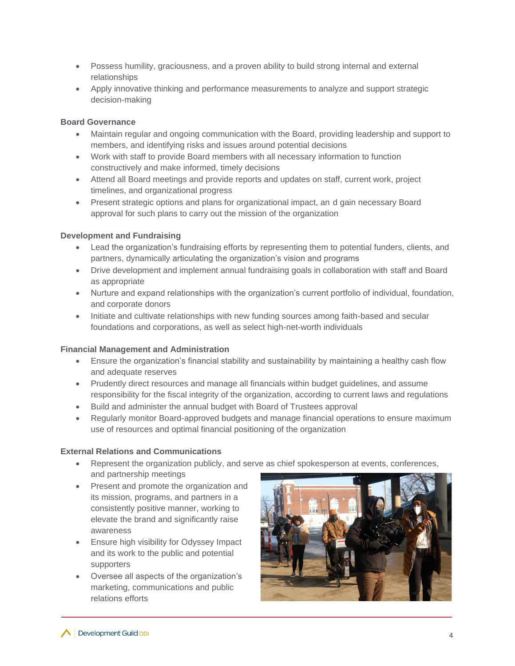- Possess humility, graciousness, and a proven ability to build strong internal and external relationships
- Apply innovative thinking and performance measurements to analyze and support strategic decision-making

## **Board Governance**

- Maintain regular and ongoing communication with the Board, providing leadership and support to members, and identifying risks and issues around potential decisions
- Work with staff to provide Board members with all necessary information to function constructively and make informed, timely decisions
- Attend all Board meetings and provide reports and updates on staff, current work, project timelines, and organizational progress
- Present strategic options and plans for organizational impact, an d gain necessary Board approval for such plans to carry out the mission of the organization

## **Development and Fundraising**

- Lead the organization's fundraising efforts by representing them to potential funders, clients, and partners, dynamically articulating the organization's vision and programs
- Drive development and implement annual fundraising goals in collaboration with staff and Board as appropriate
- Nurture and expand relationships with the organization's current portfolio of individual, foundation, and corporate donors
- Initiate and cultivate relationships with new funding sources among faith-based and secular foundations and corporations, as well as select high-net-worth individuals

#### **Financial Management and Administration**

- Ensure the organization's financial stability and sustainability by maintaining a healthy cash flow and adequate reserves
- Prudently direct resources and manage all financials within budget guidelines, and assume responsibility for the fiscal integrity of the organization, according to current laws and regulations
- Build and administer the annual budget with Board of Trustees approval
- Regularly monitor Board-approved budgets and manage financial operations to ensure maximum use of resources and optimal financial positioning of the organization

#### **External Relations and Communications**

- Represent the organization publicly, and serve as chief spokesperson at events, conferences, and partnership meetings
- Present and promote the organization and its mission, programs, and partners in a consistently positive manner, working to elevate the brand and significantly raise awareness
- Ensure high visibility for Odyssey Impact and its work to the public and potential supporters
- Oversee all aspects of the organization's marketing, communications and public relations efforts

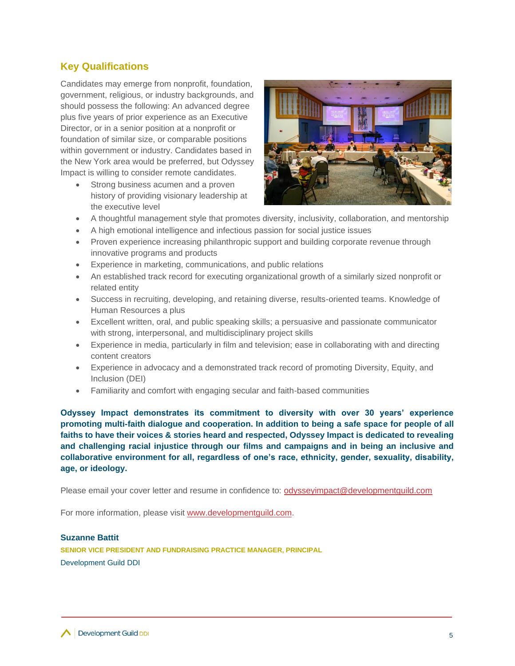## **Key Qualifications**

Candidates may emerge from nonprofit, foundation, government, religious, or industry backgrounds, and should possess the following: An advanced degree plus five years of prior experience as an Executive Director, or in a senior position at a nonprofit or foundation of similar size, or comparable positions within government or industry. Candidates based in the New York area would be preferred, but Odyssey Impact is willing to consider remote candidates.

Strong business acumen and a proven history of providing visionary leadership at the executive level



- A thoughtful management style that promotes diversity, inclusivity, collaboration, and mentorship
- A high emotional intelligence and infectious passion for social justice issues
- Proven experience increasing philanthropic support and building corporate revenue through innovative programs and products
- Experience in marketing, communications, and public relations
- An established track record for executing organizational growth of a similarly sized nonprofit or related entity
- Success in recruiting, developing, and retaining diverse, results-oriented teams. Knowledge of Human Resources a plus
- Excellent written, oral, and public speaking skills; a persuasive and passionate communicator with strong, interpersonal, and multidisciplinary project skills
- Experience in media, particularly in film and television; ease in collaborating with and directing content creators
- Experience in advocacy and a demonstrated track record of promoting Diversity, Equity, and Inclusion (DEI)
- Familiarity and comfort with engaging secular and faith-based communities

**Odyssey Impact demonstrates its commitment to diversity with over 30 years' experience promoting multi-faith dialogue and cooperation. In addition to being a safe space for people of all faiths to have their voices & stories heard and respected, Odyssey Impact is dedicated to revealing and challenging racial injustice through our films and campaigns and in being an inclusive and collaborative environment for all, regardless of one's race, ethnicity, gender, sexuality, disability, age, or ideology.**

Please email your cover letter and resume in confidence to: odysseyimpact@developmentguild.com

For more information, please visit [www.developmentguild.com.](about:blank)

#### **Suzanne Battit**

**SENIOR VICE PRESIDENT AND FUNDRAISING PRACTICE MANAGER, PRINCIPAL** Development Guild DDI